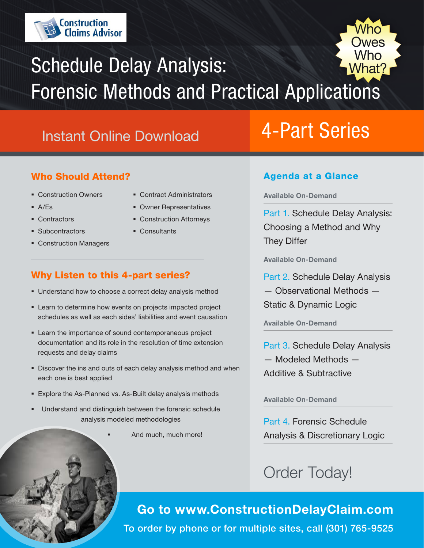

## $Mh$ 'hat' Schedule Delay Analysis: Forensic Methods and Practical Applications

## Instant Online Download

### Who Should Attend?

- **Construction Owners**
- A/Es
- Contractors

**Subcontractors** 

- **Contract Administrators**
- Owner Representatives
- Construction Attorneys
- **Consultants**
- Construction Managers

## Why Listen to this 4-part series?

- **Understand how to choose a correct delay analysis method**
- **EXECT:** Learn to determine how events on projects impacted project schedules as well as each sides' liabilities and event causation
- Learn the importance of sound contemporaneous project documentation and its role in the resolution of time extension requests and delay claims
- Discover the ins and outs of each delay analysis method and when each one is best applied
- Explore the As-Planned vs. As-Built delay analysis methods
- Understand and distinguish between the forensic schedule analysis modeled methodologies
	- And much, much more!

# 4-Part Series

 $\sum_{\lambda}$ 

Who<sup>-</sup> **Owes** 

### Agenda at a Glance

Available On-Demand

Part 1. Schedule Delay Analysis: Choosing a Method and Why They Differ

Available On-Demand

Part 2. Schedule Delay Analysis — Observational Methods — Static & Dynamic Logic

Available On-Demand

Part 3. Schedule Delay Analysis — Modeled Methods — Additive & Subtractive

Available On-Demand

Part 4. Forensic Schedule Analysis & Discretionary Logic

## Order Today!

Go to www.ConstructionDelayClaim.com To order by phone or for multiple sites, call (301) 765-9525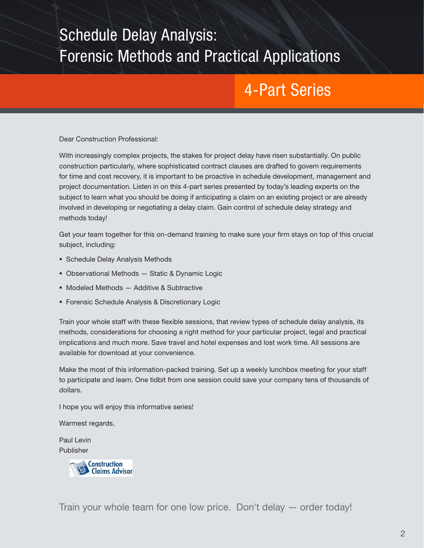# Schedule Delay Analysis: Forensic Methods and Practical Applications

## 4-Part Series

Dear Construction Professional:

With increasingly complex projects, the stakes for project delay have risen substantially. On public construction particularly, where sophisticated contract clauses are drafted to govern requirements for time and cost recovery, it is important to be proactive in schedule development, management and project documentation. Listen in on this 4-part series presented by today's leading experts on the subject to learn what you should be doing if anticipating a claim on an existing project or are already involved in developing or negotiating a delay claim. Gain control of schedule delay strategy and methods today!

Get your team together for this on-demand training to make sure your firm stays on top of this crucial subject, including:

- **Schedule Delay Analysis Methods**
- Observational Methods Static & Dynamic Logic
- **Modeled Methods Additive & Subtractive**
- **Forensic Schedule Analysis & Discretionary Logic**

Train your whole staff with these flexible sessions, that review types of schedule delay analysis, its methods, considerations for choosing a right method for your particular project, legal and practical implications and much more. Save travel and hotel expenses and lost work time. All sessions are available for download at your convenience.

Make the most of this information-packed training. Set up a weekly lunchbox meeting for your staff to participate and learn. One tidbit from one session could save your company tens of thousands of dollars.

I hope you will enjoy this informative series!

Warmest regards,

Paul Levin Publisher



Train your whole team for one low price. Don't delay — order today!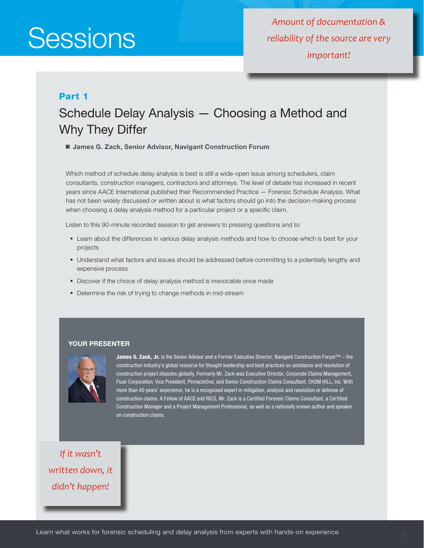*Amount of documentation & reliability of the source are very important!*

### Part 1

## Schedule Delay Analysis — Choosing a Method and Why They Differ

■ James G. Zack, Senior Advisor, Navigant Construction Forum

Which method of schedule delay analysis is best is still a wide-open issue among schedulers, claim consultants, construction managers, contractors and attorneys. The level of debate has increased in recent years since AACE International published their Recommended Practice — Forensic Schedule Analysis. What has not been widely discussed or written about is what factors should go into the decision-making process when choosing a delay analysis method for a particular project or a specific claim.

Listen to this 90-minute recorded session to get answers to pressing questions and to:

- Learn about the differences in various delay analysis methods and how to choose which is best for your projects
- Understand what factors and issues should be addressed before committing to a potentially lengthy and expensive process
- Discover if the choice of delay analysis method is irrevocable once made
- **•** Determine the risk of trying to change methods in mid-stream

#### YOUR PRESENTER



James G. Zack, Jr. is the Senior Advisor and a Former Executive Director, Navigant Construction Forum™ - the construction industry's global resource for thought leadership and best practices on avoidance and resolution of construction project disputes globally. Formerly Mr. Zack was Executive Director, Corporate Claims Management, Fluor Corporation; Vice President, PinnacleOne; and Senior Construction Claims Consultant, CH2M HILL, Inc. With more than 40 years' experience, he is a recognized expert in mitigation, analysis and resolution or defense of construction claims. A Fellow of AACE and RICS, Mr. Zack is a Certified Forensic Claims Consultant, a Certified Construction Manager and a Project Management Professional, as well as a nationally known author and speaker on construction claims.

*If it wasn't written down, it didn't happen!*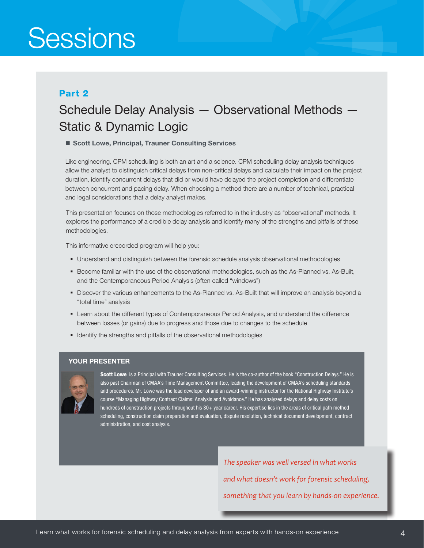### Part 2

## Schedule Delay Analysis — Observational Methods — Static & Dynamic Logic

### ■ Scott Lowe, Principal, Trauner Consulting Services

Like engineering, CPM scheduling is both an art and a science. CPM scheduling delay analysis techniques allow the analyst to distinguish critical delays from non-critical delays and calculate their impact on the project duration, identify concurrent delays that did or would have delayed the project completion and differentiate between concurrent and pacing delay. When choosing a method there are a number of technical, practical and legal considerations that a delay analyst makes.

This presentation focuses on those methodologies referred to in the industry as "observational" methods. It explores the performance of a credible delay analysis and identify many of the strengths and pitfalls of these methodologies.

This informative erecorded program will help you:

- Understand and distinguish between the forensic schedule analysis observational methodologies
- **Become familiar with the use of the observational methodologies, such as the As-Planned vs. As-Built,** and the Contemporaneous Period Analysis (often called "windows")
- Discover the various enhancements to the As-Planned vs. As-Built that will improve an analysis beyond a "total time" analysis
- Learn about the different types of Contemporaneous Period Analysis, and understand the difference between losses (or gains) due to progress and those due to changes to the schedule
- **I** Identify the strengths and pitfalls of the observational methodologies

### YOUR PRESENTER



Scott Lowe is a Principal with Trauner Consulting Services. He is the co-author of the book "Construction Delays." He is also past Chairman of CMAA's Time Management Committee, leading the development of CMAA's scheduling standards and procedures. Mr. Lowe was the lead developer of and an award-winning instructor for the National Highway Institute's course "Managing Highway Contract Claims: Analysis and Avoidance." He has analyzed delays and delay costs on hundreds of construction projects throughout his 30+ year career. His expertise lies in the areas of critical path method scheduling, construction claim preparation and evaluation, dispute resolution, technical document development, contract administration, and cost analysis.

> *The speaker was well versed in what works and what doesn't work for forensic scheduling, something that you learn by hands-on experience.*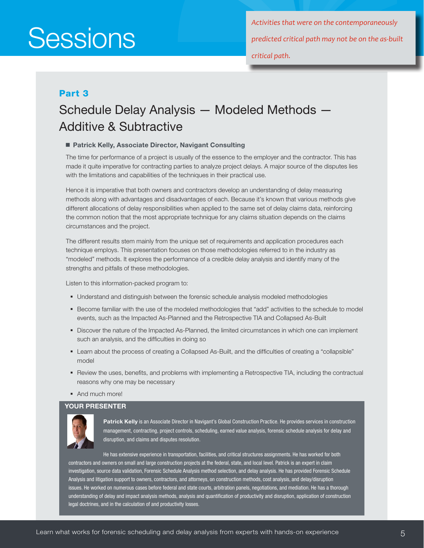*Activities that were on the contemporaneously predicted critical path may not be on the as-built critical path.*

### Part 3

## Schedule Delay Analysis — Modeled Methods — Additive & Subtractive

### ■ Patrick Kelly, Associate Director, Navigant Consulting

The time for performance of a project is usually of the essence to the employer and the contractor. This has made it quite imperative for contracting parties to analyze project delays. A major source of the disputes lies with the limitations and capabilities of the techniques in their practical use.

Hence it is imperative that both owners and contractors develop an understanding of delay measuring methods along with advantages and disadvantages of each. Because it's known that various methods give different allocations of delay responsibilities when applied to the same set of delay claims data, reinforcing the common notion that the most appropriate technique for any claims situation depends on the claims circumstances and the project.

The different results stem mainly from the unique set of requirements and application procedures each technique employs. This presentation focuses on those methodologies referred to in the industry as "modeled" methods. It explores the performance of a credible delay analysis and identify many of the strengths and pitfalls of these methodologies.

Listen to this information-packed program to:

- Understand and distinguish between the forensic schedule analysis modeled methodologies
- Become familiar with the use of the modeled methodologies that "add" activities to the schedule to model events, such as the Impacted As-Planned and the Retrospective TIA and Collapsed As-Built
- Discover the nature of the Impacted As-Planned, the limited circumstances in which one can implement such an analysis, and the difficulties in doing so
- Learn about the process of creating a Collapsed As-Built, and the difficulties of creating a "collapsible" model
- **Part Act Act Sepan Filters** and problems with implementing a Retrospective TIA, including the contractual reasons why one may be necessary
- And much more!

#### YOUR PRESENTER



Patrick Kelly is an Associate Director in Navigant's Global Construction Practice. He provides services in construction management, contracting, project controls, scheduling, earned value analysis, forensic schedule analysis for delay and disruption, and claims and disputes resolution.

He has extensive experience in transportation, facilities, and critical structures assignments. He has worked for both contractors and owners on small and large construction projects at the federal, state, and local level. Patrick is an expert in claim investigation, source data validation, Forensic Schedule Analysis method selection, and delay analysis. He has provided Forensic Schedule Analysis and litigation support to owners, contractors, and attorneys, on construction methods, cost analysis, and delay/disruption issues. He worked on numerous cases before federal and state courts, arbitration panels, negotiations, and mediation. He has a thorough understanding of delay and impact analysis methods, analysis and quantification of productivity and disruption, application of construction legal doctrines, and in the calculation of and productivity losses.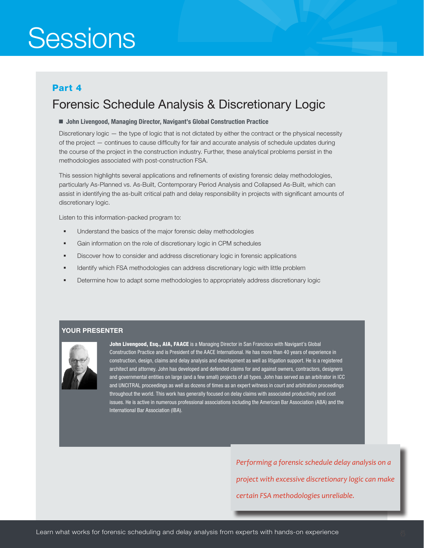### Part 4

## Forensic Schedule Analysis & Discretionary Logic

#### ■ John Livengood, Managing Director, Navigant's Global Construction Practice

Discretionary logic — the type of logic that is not dictated by either the contract or the physical necessity of the project — continues to cause difficulty for fair and accurate analysis of schedule updates during the course of the project in the construction industry. Further, these analytical problems persist in the methodologies associated with post-construction FSA.

This session highlights several applications and refinements of existing forensic delay methodologies, particularly As-Planned vs. As-Built, Contemporary Period Analysis and Collapsed As-Built, which can assist in identifying the as-built critical path and delay responsibility in projects with significant amounts of discretionary logic.

Listen to this information-packed program to:

- **Understand the basics of the major forensic delay methodologies**
- Gain information on the role of discretionary logic in CPM schedules
- Discover how to consider and address discretionary logic in forensic applications
- **IDENTIFY 11** Identify which FSA methodologies can address discretionary logic with little problem
- Determine how to adapt some methodologies to appropriately address discretionary logic

### YOUR PRESENTER



John Livengood, Esq., AIA, FAACE is a Managing Director in San Francisco with Navigant's Global Construction Practice and is President of the AACE International. He has more than 40 years of experience in construction, design, claims and delay analysis and development as well as litigation support. He is a registered architect and attorney. John has developed and defended claims for and against owners, contractors, designers and governmental entities on large (and a few small) projects of all types. John has served as an arbitrator in ICC and UNCITRAL proceedings as well as dozens of times as an expert witness in court and arbitration proceedings throughout the world. This work has generally focused on delay claims with associated productivity and cost issues. He is active in numerous professional associations including the American Bar Association (ABA) and the International Bar Association (IBA).

> *Performing a forensic schedule delay analysis on a project with excessive discretionary logic can make certain FSA methodologies unreliable.*